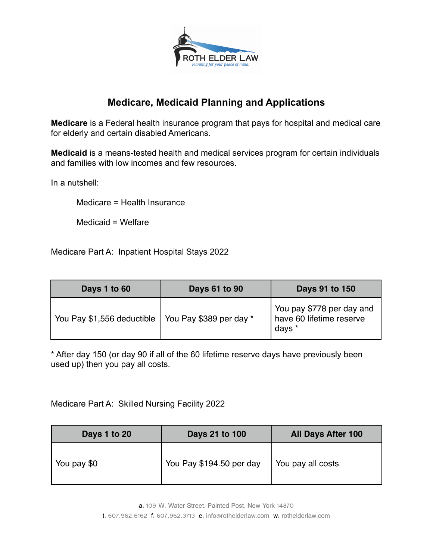

# **Medicare, Medicaid Planning and Applications**

**Medicare** is a Federal health insurance program that pays for hospital and medical care for elderly and certain disabled Americans.

**Medicaid** is a means-tested health and medical services program for certain individuals and families with low incomes and few resources.

In a nutshell:

Medicare = Health Insurance

Medicaid = Welfare

Medicare Part A: Inpatient Hospital Stays 2022

| Days 1 to 60               | Days 61 to 90           | Days 91 to 150                                                  |
|----------------------------|-------------------------|-----------------------------------------------------------------|
| You Pay \$1,556 deductible | You Pay \$389 per day * | You pay \$778 per day and<br>have 60 lifetime reserve<br>days * |

\* After day 150 (or day 90 if all of the 60 lifetime reserve days have previously been used up) then you pay all costs.

Medicare Part A: Skilled Nursing Facility 2022

| Days 1 to 20 | Days 21 to 100           | <b>All Days After 100</b> |
|--------------|--------------------------|---------------------------|
| You pay \$0  | You Pay \$194.50 per day | You pay all costs         |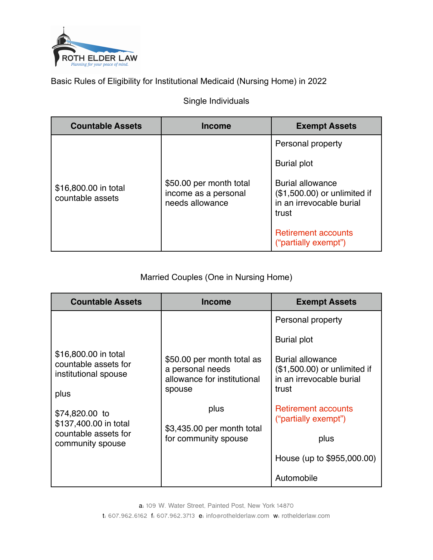

Basic Rules of Eligibility for Institutional Medicaid (Nursing Home) in 2022

### Single Individuals

| <b>Countable Assets</b>                  | Income                                                             | <b>Exempt Assets</b>                                                                         |
|------------------------------------------|--------------------------------------------------------------------|----------------------------------------------------------------------------------------------|
|                                          |                                                                    | Personal property                                                                            |
| \$16,800.00 in total<br>countable assets |                                                                    | <b>Burial plot</b>                                                                           |
|                                          | \$50.00 per month total<br>income as a personal<br>needs allowance | <b>Burial allowance</b><br>(\$1,500.00) or unlimited if<br>in an irrevocable burial<br>trust |
|                                          |                                                                    | <b>Retirement accounts</b><br>("partially exempt")                                           |

## Married Couples (One in Nursing Home)

| <b>Countable Assets</b>                                                      | <b>Income</b>                                                                           | <b>Exempt Assets</b>                                                                          |
|------------------------------------------------------------------------------|-----------------------------------------------------------------------------------------|-----------------------------------------------------------------------------------------------|
|                                                                              |                                                                                         | Personal property                                                                             |
|                                                                              |                                                                                         | <b>Burial plot</b>                                                                            |
| \$16,800.00 in total<br>countable assets for<br>institutional spouse<br>plus | \$50.00 per month total as<br>a personal needs<br>allowance for institutional<br>spouse | <b>Burial allowance</b><br>$($1,500.00)$ or unlimited if<br>in an irrevocable burial<br>trust |
| \$74,820.00 to<br>\$137,400.00 in total                                      | plus                                                                                    | <b>Retirement accounts</b><br>("partially exempt")                                            |
| countable assets for<br>community spouse                                     | \$3,435.00 per month total<br>for community spouse                                      | plus                                                                                          |
|                                                                              |                                                                                         | House (up to \$955,000.00)                                                                    |
|                                                                              |                                                                                         | Automobile                                                                                    |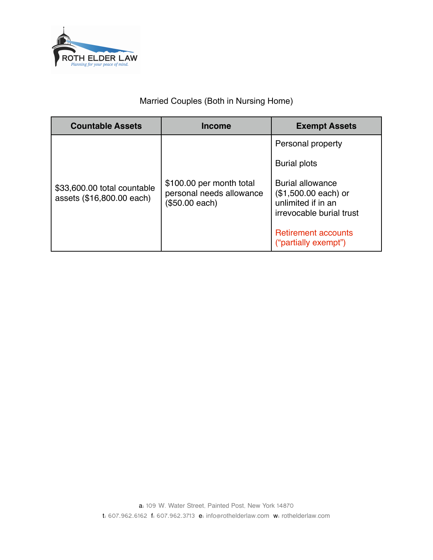

## Married Couples (Both in Nursing Home)

| <b>Countable Assets</b>                                  | <b>Income</b>                                                          | <b>Exempt Assets</b>                                                                               |
|----------------------------------------------------------|------------------------------------------------------------------------|----------------------------------------------------------------------------------------------------|
| \$33,600.00 total countable<br>assets (\$16,800.00 each) |                                                                        | Personal property<br><b>Burial plots</b>                                                           |
|                                                          | \$100.00 per month total<br>personal needs allowance<br>(\$50.00 each) | <b>Burial allowance</b><br>$($1,500.00 each)$ or<br>unlimited if in an<br>irrevocable burial trust |
|                                                          |                                                                        | <b>Retirement accounts</b><br>("partially exempt")                                                 |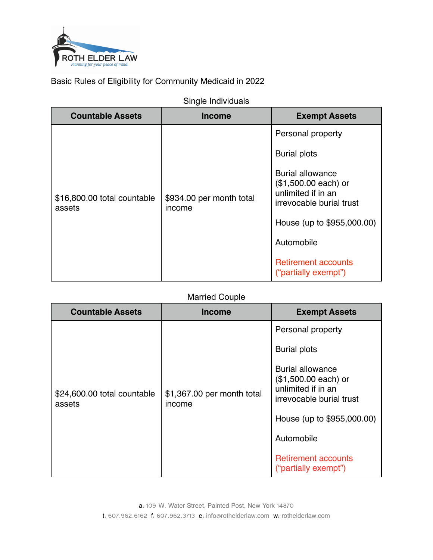

Basic Rules of Eligibility for Community Medicaid in 2022

| <b>Countable Assets</b>               | <b>Income</b>                      | <b>Exempt Assets</b>                                                                                                                           |
|---------------------------------------|------------------------------------|------------------------------------------------------------------------------------------------------------------------------------------------|
| \$16,800.00 total countable<br>assets |                                    | Personal property                                                                                                                              |
|                                       |                                    | <b>Burial plots</b>                                                                                                                            |
|                                       | \$934.00 per month total<br>income | <b>Burial allowance</b><br>$($1,500.00 each)$ or<br>unlimited if in an<br>irrevocable burial trust<br>House (up to \$955,000.00)<br>Automobile |
|                                       |                                    |                                                                                                                                                |
|                                       |                                    |                                                                                                                                                |
|                                       |                                    | <b>Retirement accounts</b><br>("partially exempt")                                                                                             |

#### Married Couple

| Personal property<br><b>Burial plots</b><br><b>Burial allowance</b><br>$($1,500.00 each)$ or<br>unlimited if in an<br>\$24,600.00 total countable<br>\$1,367.00 per month total<br>irrevocable burial trust<br>assets<br>income<br>House (up to \$955,000.00) | <b>Countable Assets</b> | <b>Income</b> | <b>Exempt Assets</b> |
|---------------------------------------------------------------------------------------------------------------------------------------------------------------------------------------------------------------------------------------------------------------|-------------------------|---------------|----------------------|
|                                                                                                                                                                                                                                                               |                         |               | Automobile           |
|                                                                                                                                                                                                                                                               |                         |               |                      |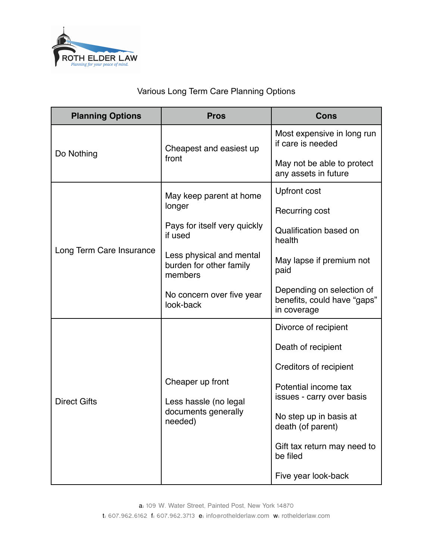

# Various Long Term Care Planning Options

| <b>Planning Options</b>                         | <b>Pros</b>                                                                 | Cons                                                                    |
|-------------------------------------------------|-----------------------------------------------------------------------------|-------------------------------------------------------------------------|
| Do Nothing                                      | Cheapest and easiest up<br>front                                            | Most expensive in long run<br>if care is needed                         |
|                                                 |                                                                             | May not be able to protect<br>any assets in future                      |
|                                                 | May keep parent at home                                                     | <b>Upfront cost</b>                                                     |
|                                                 | longer                                                                      | Recurring cost                                                          |
| Long Term Care Insurance<br><b>Direct Gifts</b> | Pays for itself very quickly<br>if used                                     | Qualification based on<br>health                                        |
|                                                 | Less physical and mental<br>burden for other family<br>members              | May lapse if premium not<br>paid                                        |
|                                                 | No concern over five year<br>look-back                                      | Depending on selection of<br>benefits, could have "gaps"<br>in coverage |
|                                                 |                                                                             | Divorce of recipient                                                    |
|                                                 |                                                                             | Death of recipient                                                      |
|                                                 |                                                                             | Creditors of recipient                                                  |
|                                                 | Cheaper up front<br>Less hassle (no legal<br>documents generally<br>needed) | Potential income tax<br>issues - carry over basis                       |
|                                                 |                                                                             | No step up in basis at<br>death (of parent)                             |
|                                                 |                                                                             | Gift tax return may need to<br>be filed                                 |
|                                                 |                                                                             | Five year look-back                                                     |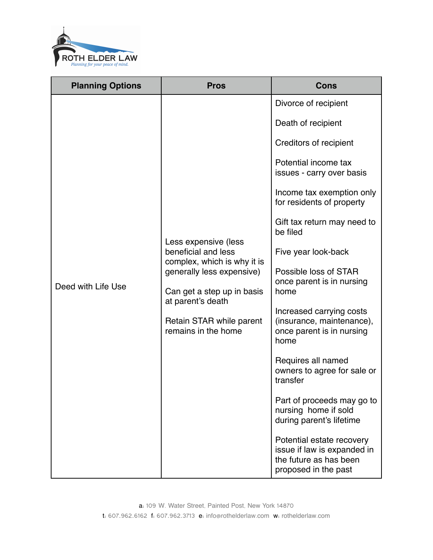

| <b>Planning Options</b> | <b>Pros</b>                                                                                                                                                                                                   | <b>Cons</b>                                                                                                                                                                                                                                                                                                                                                                                                                                                                                                                                                                                                                                                                        |
|-------------------------|---------------------------------------------------------------------------------------------------------------------------------------------------------------------------------------------------------------|------------------------------------------------------------------------------------------------------------------------------------------------------------------------------------------------------------------------------------------------------------------------------------------------------------------------------------------------------------------------------------------------------------------------------------------------------------------------------------------------------------------------------------------------------------------------------------------------------------------------------------------------------------------------------------|
| Deed with Life Use      | Less expensive (less<br>beneficial and less<br>complex, which is why it is<br>generally less expensive)<br>Can get a step up in basis<br>at parent's death<br>Retain STAR while parent<br>remains in the home | Divorce of recipient<br>Death of recipient<br>Creditors of recipient<br>Potential income tax<br>issues - carry over basis<br>Income tax exemption only<br>for residents of property<br>Gift tax return may need to<br>be filed<br>Five year look-back<br>Possible loss of STAR<br>once parent is in nursing<br>home<br>Increased carrying costs<br>(insurance, maintenance),<br>once parent is in nursing<br>home<br>Requires all named<br>owners to agree for sale or<br>transfer<br>Part of proceeds may go to<br>nursing home if sold<br>during parent's lifetime<br>Potential estate recovery<br>issue if law is expanded in<br>the future as has been<br>proposed in the past |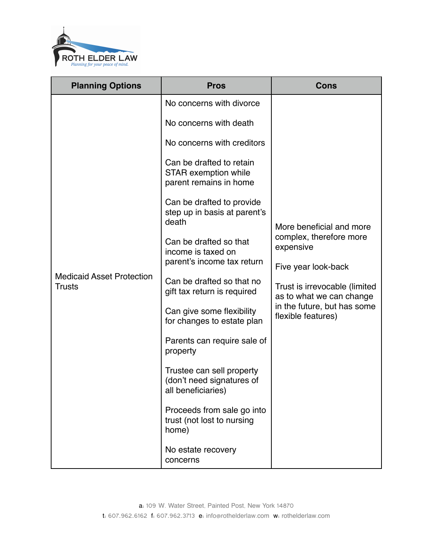

| <b>Planning Options</b>                           | <b>Pros</b>                                                                                                                                                                                                                                                                                                                                                                                                                                                                                                       | Cons                                                                                                                                                                                                      |
|---------------------------------------------------|-------------------------------------------------------------------------------------------------------------------------------------------------------------------------------------------------------------------------------------------------------------------------------------------------------------------------------------------------------------------------------------------------------------------------------------------------------------------------------------------------------------------|-----------------------------------------------------------------------------------------------------------------------------------------------------------------------------------------------------------|
| <b>Medicaid Asset Protection</b><br><b>Trusts</b> | No concerns with divorce<br>No concerns with death<br>No concerns with creditors<br>Can be drafted to retain<br>STAR exemption while<br>parent remains in home<br>Can be drafted to provide<br>step up in basis at parent's<br>death<br>Can be drafted so that<br>income is taxed on<br>parent's income tax return<br>Can be drafted so that no<br>gift tax return is required<br>Can give some flexibility<br>for changes to estate plan<br>Parents can require sale of<br>property<br>Trustee can sell property | More beneficial and more<br>complex, therefore more<br>expensive<br>Five year look-back<br>Trust is irrevocable (limited<br>as to what we can change<br>in the future, but has some<br>flexible features) |
|                                                   | (don't need signatures of<br>all beneficiaries)<br>Proceeds from sale go into<br>trust (not lost to nursing<br>home)                                                                                                                                                                                                                                                                                                                                                                                              |                                                                                                                                                                                                           |
|                                                   | No estate recovery<br>concerns                                                                                                                                                                                                                                                                                                                                                                                                                                                                                    |                                                                                                                                                                                                           |